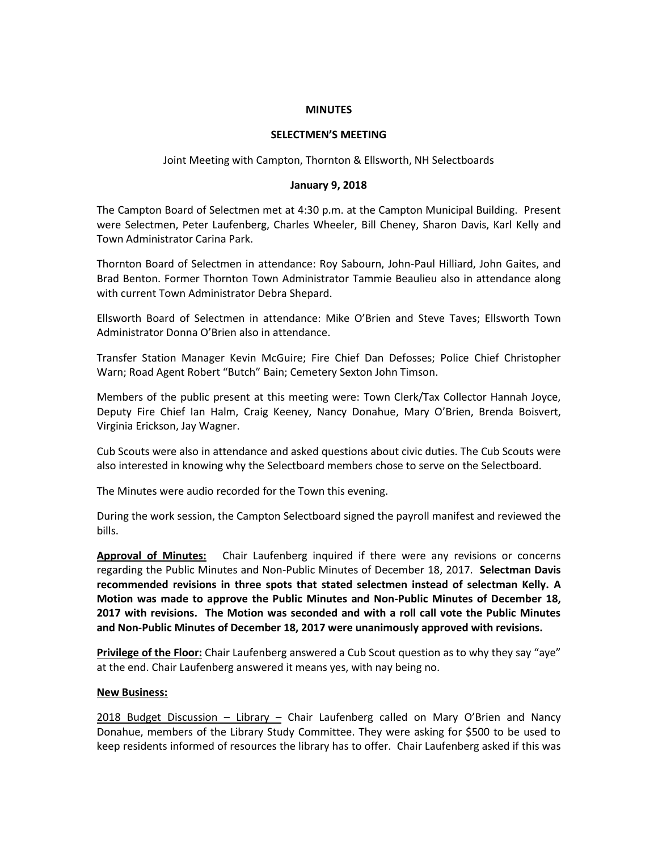### **MINUTES**

## **SELECTMEN'S MEETING**

Joint Meeting with Campton, Thornton & Ellsworth, NH Selectboards

### **January 9, 2018**

The Campton Board of Selectmen met at 4:30 p.m. at the Campton Municipal Building. Present were Selectmen, Peter Laufenberg, Charles Wheeler, Bill Cheney, Sharon Davis, Karl Kelly and Town Administrator Carina Park.

Thornton Board of Selectmen in attendance: Roy Sabourn, John-Paul Hilliard, John Gaites, and Brad Benton. Former Thornton Town Administrator Tammie Beaulieu also in attendance along with current Town Administrator Debra Shepard.

Ellsworth Board of Selectmen in attendance: Mike O'Brien and Steve Taves; Ellsworth Town Administrator Donna O'Brien also in attendance.

Transfer Station Manager Kevin McGuire; Fire Chief Dan Defosses; Police Chief Christopher Warn; Road Agent Robert "Butch" Bain; Cemetery Sexton John Timson.

Members of the public present at this meeting were: Town Clerk/Tax Collector Hannah Joyce, Deputy Fire Chief Ian Halm, Craig Keeney, Nancy Donahue, Mary O'Brien, Brenda Boisvert, Virginia Erickson, Jay Wagner.

Cub Scouts were also in attendance and asked questions about civic duties. The Cub Scouts were also interested in knowing why the Selectboard members chose to serve on the Selectboard.

The Minutes were audio recorded for the Town this evening.

During the work session, the Campton Selectboard signed the payroll manifest and reviewed the bills.

**Approval of Minutes:** Chair Laufenberg inquired if there were any revisions or concerns regarding the Public Minutes and Non-Public Minutes of December 18, 2017. **Selectman Davis recommended revisions in three spots that stated selectmen instead of selectman Kelly. A Motion was made to approve the Public Minutes and Non-Public Minutes of December 18, 2017 with revisions. The Motion was seconded and with a roll call vote the Public Minutes and Non-Public Minutes of December 18, 2017 were unanimously approved with revisions.** 

**Privilege of the Floor:** Chair Laufenberg answered a Cub Scout question as to why they say "aye" at the end. Chair Laufenberg answered it means yes, with nay being no.

## **New Business:**

2018 Budget Discussion – Library – Chair Laufenberg called on Mary O'Brien and Nancy Donahue, members of the Library Study Committee. They were asking for \$500 to be used to keep residents informed of resources the library has to offer. Chair Laufenberg asked if this was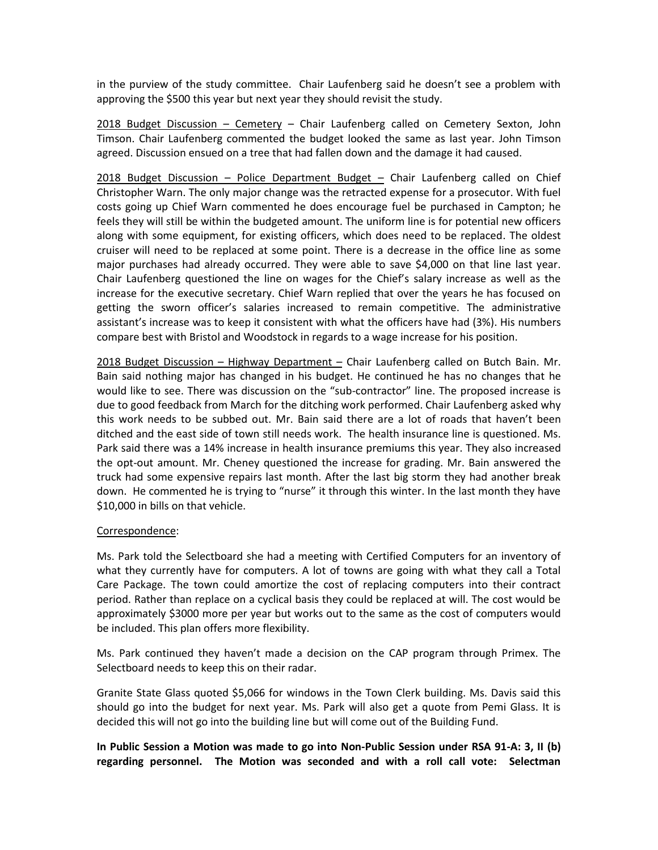in the purview of the study committee. Chair Laufenberg said he doesn't see a problem with approving the \$500 this year but next year they should revisit the study.

2018 Budget Discussion – Cemetery – Chair Laufenberg called on Cemetery Sexton, John Timson. Chair Laufenberg commented the budget looked the same as last year. John Timson agreed. Discussion ensued on a tree that had fallen down and the damage it had caused.

2018 Budget Discussion – Police Department Budget – Chair Laufenberg called on Chief Christopher Warn. The only major change was the retracted expense for a prosecutor. With fuel costs going up Chief Warn commented he does encourage fuel be purchased in Campton; he feels they will still be within the budgeted amount. The uniform line is for potential new officers along with some equipment, for existing officers, which does need to be replaced. The oldest cruiser will need to be replaced at some point. There is a decrease in the office line as some major purchases had already occurred. They were able to save \$4,000 on that line last year. Chair Laufenberg questioned the line on wages for the Chief's salary increase as well as the increase for the executive secretary. Chief Warn replied that over the years he has focused on getting the sworn officer's salaries increased to remain competitive. The administrative assistant's increase was to keep it consistent with what the officers have had (3%). His numbers compare best with Bristol and Woodstock in regards to a wage increase for his position.

2018 Budget Discussion - Highway Department - Chair Laufenberg called on Butch Bain. Mr. Bain said nothing major has changed in his budget. He continued he has no changes that he would like to see. There was discussion on the "sub-contractor" line. The proposed increase is due to good feedback from March for the ditching work performed. Chair Laufenberg asked why this work needs to be subbed out. Mr. Bain said there are a lot of roads that haven't been ditched and the east side of town still needs work. The health insurance line is questioned. Ms. Park said there was a 14% increase in health insurance premiums this year. They also increased the opt-out amount. Mr. Cheney questioned the increase for grading. Mr. Bain answered the truck had some expensive repairs last month. After the last big storm they had another break down. He commented he is trying to "nurse" it through this winter. In the last month they have \$10,000 in bills on that vehicle.

# Correspondence:

Ms. Park told the Selectboard she had a meeting with Certified Computers for an inventory of what they currently have for computers. A lot of towns are going with what they call a Total Care Package. The town could amortize the cost of replacing computers into their contract period. Rather than replace on a cyclical basis they could be replaced at will. The cost would be approximately \$3000 more per year but works out to the same as the cost of computers would be included. This plan offers more flexibility.

Ms. Park continued they haven't made a decision on the CAP program through Primex. The Selectboard needs to keep this on their radar.

Granite State Glass quoted \$5,066 for windows in the Town Clerk building. Ms. Davis said this should go into the budget for next year. Ms. Park will also get a quote from Pemi Glass. It is decided this will not go into the building line but will come out of the Building Fund.

**In Public Session a Motion was made to go into Non-Public Session under RSA 91-A: 3, II (b) regarding personnel. The Motion was seconded and with a roll call vote: Selectman**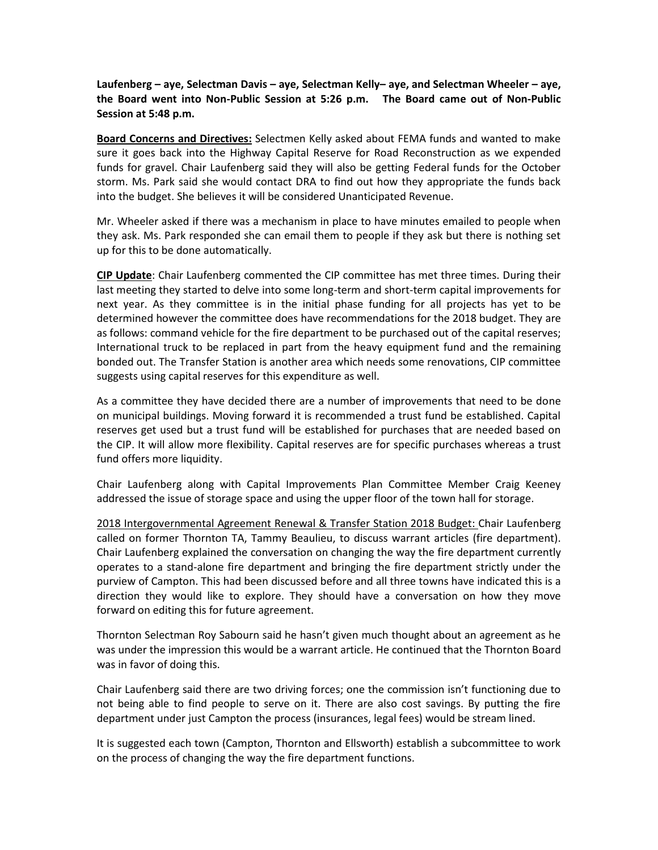**Laufenberg – aye, Selectman Davis – aye, Selectman Kelly– aye, and Selectman Wheeler – aye, the Board went into Non-Public Session at 5:26 p.m. The Board came out of Non-Public Session at 5:48 p.m.**

**Board Concerns and Directives:** Selectmen Kelly asked about FEMA funds and wanted to make sure it goes back into the Highway Capital Reserve for Road Reconstruction as we expended funds for gravel. Chair Laufenberg said they will also be getting Federal funds for the October storm. Ms. Park said she would contact DRA to find out how they appropriate the funds back into the budget. She believes it will be considered Unanticipated Revenue.

Mr. Wheeler asked if there was a mechanism in place to have minutes emailed to people when they ask. Ms. Park responded she can email them to people if they ask but there is nothing set up for this to be done automatically.

**CIP Update**: Chair Laufenberg commented the CIP committee has met three times. During their last meeting they started to delve into some long-term and short-term capital improvements for next year. As they committee is in the initial phase funding for all projects has yet to be determined however the committee does have recommendations for the 2018 budget. They are as follows: command vehicle for the fire department to be purchased out of the capital reserves; International truck to be replaced in part from the heavy equipment fund and the remaining bonded out. The Transfer Station is another area which needs some renovations, CIP committee suggests using capital reserves for this expenditure as well.

As a committee they have decided there are a number of improvements that need to be done on municipal buildings. Moving forward it is recommended a trust fund be established. Capital reserves get used but a trust fund will be established for purchases that are needed based on the CIP. It will allow more flexibility. Capital reserves are for specific purchases whereas a trust fund offers more liquidity.

Chair Laufenberg along with Capital Improvements Plan Committee Member Craig Keeney addressed the issue of storage space and using the upper floor of the town hall for storage.

2018 Intergovernmental Agreement Renewal & Transfer Station 2018 Budget: Chair Laufenberg called on former Thornton TA, Tammy Beaulieu, to discuss warrant articles (fire department). Chair Laufenberg explained the conversation on changing the way the fire department currently operates to a stand-alone fire department and bringing the fire department strictly under the purview of Campton. This had been discussed before and all three towns have indicated this is a direction they would like to explore. They should have a conversation on how they move forward on editing this for future agreement.

Thornton Selectman Roy Sabourn said he hasn't given much thought about an agreement as he was under the impression this would be a warrant article. He continued that the Thornton Board was in favor of doing this.

Chair Laufenberg said there are two driving forces; one the commission isn't functioning due to not being able to find people to serve on it. There are also cost savings. By putting the fire department under just Campton the process (insurances, legal fees) would be stream lined.

It is suggested each town (Campton, Thornton and Ellsworth) establish a subcommittee to work on the process of changing the way the fire department functions.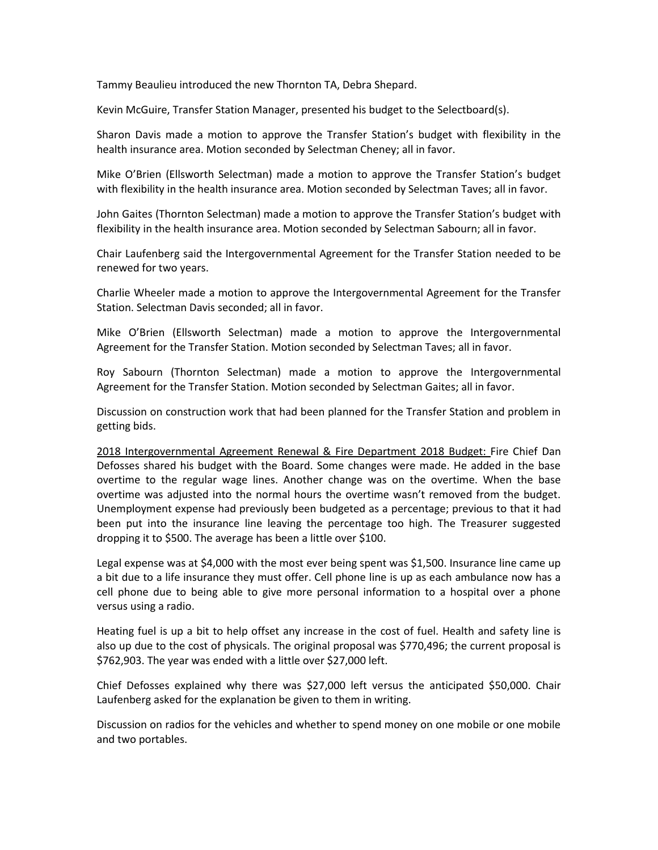Tammy Beaulieu introduced the new Thornton TA, Debra Shepard.

Kevin McGuire, Transfer Station Manager, presented his budget to the Selectboard(s).

Sharon Davis made a motion to approve the Transfer Station's budget with flexibility in the health insurance area. Motion seconded by Selectman Cheney; all in favor.

Mike O'Brien (Ellsworth Selectman) made a motion to approve the Transfer Station's budget with flexibility in the health insurance area. Motion seconded by Selectman Taves; all in favor.

John Gaites (Thornton Selectman) made a motion to approve the Transfer Station's budget with flexibility in the health insurance area. Motion seconded by Selectman Sabourn; all in favor.

Chair Laufenberg said the Intergovernmental Agreement for the Transfer Station needed to be renewed for two years.

Charlie Wheeler made a motion to approve the Intergovernmental Agreement for the Transfer Station. Selectman Davis seconded; all in favor.

Mike O'Brien (Ellsworth Selectman) made a motion to approve the Intergovernmental Agreement for the Transfer Station. Motion seconded by Selectman Taves; all in favor.

Roy Sabourn (Thornton Selectman) made a motion to approve the Intergovernmental Agreement for the Transfer Station. Motion seconded by Selectman Gaites; all in favor.

Discussion on construction work that had been planned for the Transfer Station and problem in getting bids.

2018 Intergovernmental Agreement Renewal & Fire Department 2018 Budget: Fire Chief Dan Defosses shared his budget with the Board. Some changes were made. He added in the base overtime to the regular wage lines. Another change was on the overtime. When the base overtime was adjusted into the normal hours the overtime wasn't removed from the budget. Unemployment expense had previously been budgeted as a percentage; previous to that it had been put into the insurance line leaving the percentage too high. The Treasurer suggested dropping it to \$500. The average has been a little over \$100.

Legal expense was at \$4,000 with the most ever being spent was \$1,500. Insurance line came up a bit due to a life insurance they must offer. Cell phone line is up as each ambulance now has a cell phone due to being able to give more personal information to a hospital over a phone versus using a radio.

Heating fuel is up a bit to help offset any increase in the cost of fuel. Health and safety line is also up due to the cost of physicals. The original proposal was \$770,496; the current proposal is \$762,903. The year was ended with a little over \$27,000 left.

Chief Defosses explained why there was \$27,000 left versus the anticipated \$50,000. Chair Laufenberg asked for the explanation be given to them in writing.

Discussion on radios for the vehicles and whether to spend money on one mobile or one mobile and two portables.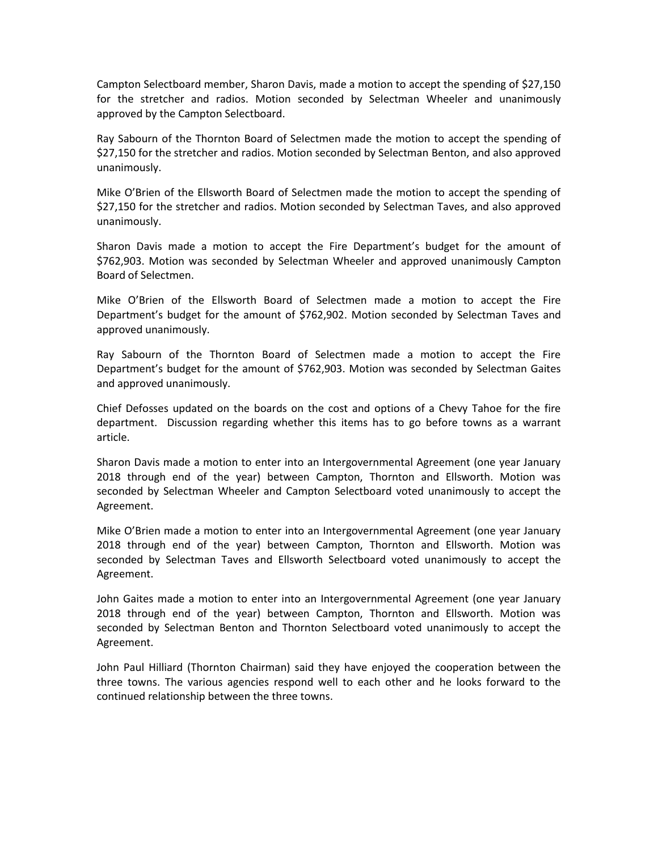Campton Selectboard member, Sharon Davis, made a motion to accept the spending of \$27,150 for the stretcher and radios. Motion seconded by Selectman Wheeler and unanimously approved by the Campton Selectboard.

Ray Sabourn of the Thornton Board of Selectmen made the motion to accept the spending of \$27,150 for the stretcher and radios. Motion seconded by Selectman Benton, and also approved unanimously.

Mike O'Brien of the Ellsworth Board of Selectmen made the motion to accept the spending of \$27,150 for the stretcher and radios. Motion seconded by Selectman Taves, and also approved unanimously.

Sharon Davis made a motion to accept the Fire Department's budget for the amount of \$762,903. Motion was seconded by Selectman Wheeler and approved unanimously Campton Board of Selectmen.

Mike O'Brien of the Ellsworth Board of Selectmen made a motion to accept the Fire Department's budget for the amount of \$762,902. Motion seconded by Selectman Taves and approved unanimously.

Ray Sabourn of the Thornton Board of Selectmen made a motion to accept the Fire Department's budget for the amount of \$762,903. Motion was seconded by Selectman Gaites and approved unanimously.

Chief Defosses updated on the boards on the cost and options of a Chevy Tahoe for the fire department. Discussion regarding whether this items has to go before towns as a warrant article.

Sharon Davis made a motion to enter into an Intergovernmental Agreement (one year January 2018 through end of the year) between Campton, Thornton and Ellsworth. Motion was seconded by Selectman Wheeler and Campton Selectboard voted unanimously to accept the Agreement.

Mike O'Brien made a motion to enter into an Intergovernmental Agreement (one year January 2018 through end of the year) between Campton, Thornton and Ellsworth. Motion was seconded by Selectman Taves and Ellsworth Selectboard voted unanimously to accept the Agreement.

John Gaites made a motion to enter into an Intergovernmental Agreement (one year January 2018 through end of the year) between Campton, Thornton and Ellsworth. Motion was seconded by Selectman Benton and Thornton Selectboard voted unanimously to accept the Agreement.

John Paul Hilliard (Thornton Chairman) said they have enjoyed the cooperation between the three towns. The various agencies respond well to each other and he looks forward to the continued relationship between the three towns.